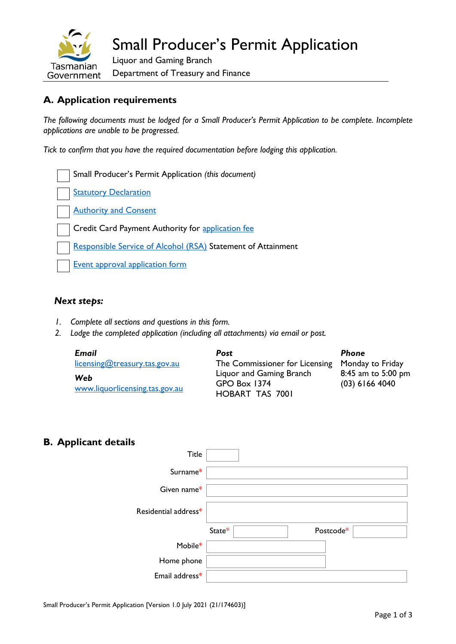

# **A. Application requirements**

*The following documents must be lodged for a Small Producer's Permit Application to be complete. Incomplete applications are unable to be progressed.*

*Tick to confirm that you have the required documentation before lodging this application.*

Small Producer's Permit Application *(this document)* **[Statutory Declaration](https://www.treasury.tas.gov.au/Documents/Statutory%20Declaration.pdf) [Authority and Consent](https://www.treasury.tas.gov.au/Documents/Authority%20and%20Consent.pdf)** Credit Card Payment Authority for [application fee](https://www.treasury.tas.gov.au/liquor-and-gaming/fees) [Responsible Service of Alcohol](https://www.treasury.tas.gov.au/liquor-and-gaming/liquor/responsible-service-of-alcohol) (RSA) Statement of Attainment [Event approval application form](https://www.treasury.tas.gov.au/Documents/Event%20Approval%20application%20form.PDF)

#### *Next steps:*

- *1. Complete all sections and questions in this form.*
- *2. Lodge the completed application (including all attachments) via email or post.*

| Email                                 | Post                                                               | Phone                                  |
|---------------------------------------|--------------------------------------------------------------------|----------------------------------------|
| $licensing@treasury.$ tas.gov.au      | The Commissioner for Licensing Monday to Friday                    |                                        |
| Web<br>www.liguorlicensing.tas.gov.au | Liquor and Gaming Branch<br>GPO Box 1374<br><b>HOBART TAS 7001</b> | 8:45 am to 5:00 pm<br>$(03)$ 6166 4040 |

## **B. Applicant details**

| <b>Title</b>         |        |           |  |
|----------------------|--------|-----------|--|
| Surname*             |        |           |  |
| Given name*          |        |           |  |
| Residential address* |        |           |  |
|                      | State* | Postcode* |  |
| Mobile*              |        |           |  |
| Home phone           |        |           |  |
| Email address*       |        |           |  |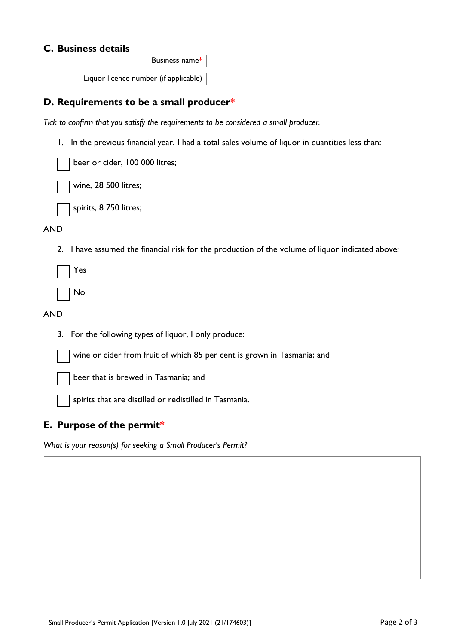## **C. Business details**

Business name\*

Liquor licence number (if applicable)

| ,我们也不会有什么?""我们的人,我们也不会有什么?""我们的人,我们也不会有什么?""我们的人,我们也不会有什么?""我们的人,我们也不会有什么?""我们的人 |  |  |
|----------------------------------------------------------------------------------|--|--|
|                                                                                  |  |  |
|                                                                                  |  |  |
|                                                                                  |  |  |
|                                                                                  |  |  |

# **D. Requirements to be a small producer\***

*Tick to confirm that you satisfy the requirements to be considered a small producer.*

1. In the previous financial year, I had a total sales volume of liquor in quantities less than:

beer or cider, 100 000 litres;

wine, 28 500 litres;

| $\sqrt{ }$ spirits, 8 750 litres; |  |  |
|-----------------------------------|--|--|
|                                   |  |  |

AND

2. I have assumed the financial risk for the production of the volume of liquor indicated above:

Yes

No

#### AND

3. For the following types of liquor, I only produce:

wine or cider from fruit of which 85 per cent is grown in Tasmania; and

beer that is brewed in Tasmania; and

spirits that are distilled or redistilled in Tasmania.

# **E. Purpose of the permit\***

*What is your reason(s) for seeking a Small Producer's Permit?*